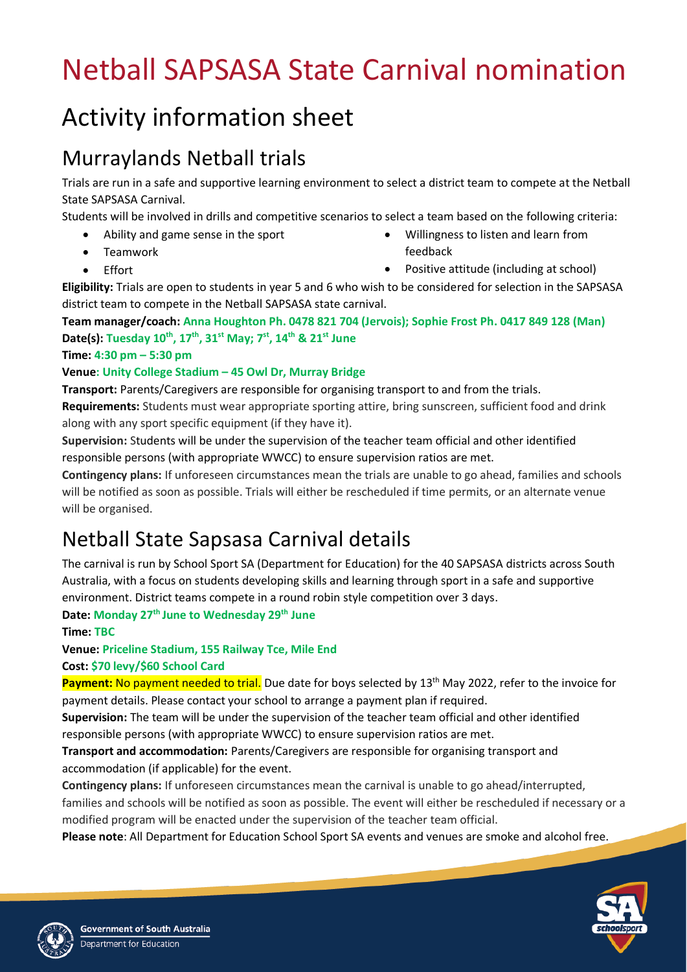# Netball SAPSASA State Carnival nomination

## Activity information sheet

### Murraylands Netball trials

Trials are run in a safe and supportive learning environment to select a district team to compete at the Netball State SAPSASA Carnival.

Students will be involved in drills and competitive scenarios to select a team based on the following criteria:

- Ability and game sense in the sport
- Teamwork

• Willingness to listen and learn from feedback

• Effort

Positive attitude (including at school)

**Eligibility:** Trials are open to students in year 5 and 6 who wish to be considered for selection in the SAPSASA district team to compete in the Netball SAPSASA state carnival.

**Team manager/coach: Anna Houghton Ph. 0478 821 704 (Jervois); Sophie Frost Ph. 0417 849 128 (Man) Date(s): Tuesday 10 th , 17th, 31st May; 7 st , 14th & 21st June**

#### **Time: 4:30 pm – 5:30 pm**

#### **Venue: Unity College Stadium – 45 Owl Dr, Murray Bridge**

**Transport:** Parents/Caregivers are responsible for organising transport to and from the trials. **Requirements:** Students must wear appropriate sporting attire, bring sunscreen, sufficient food and drink along with any sport specific equipment (if they have it).

**Supervision:** Students will be under the supervision of the teacher team official and other identified responsible persons (with appropriate WWCC) to ensure supervision ratios are met.

**Contingency plans:** If unforeseen circumstances mean the trials are unable to go ahead, families and schools will be notified as soon as possible. Trials will either be rescheduled if time permits, or an alternate venue will be organised.

### Netball State Sapsasa Carnival details

The carnival is run by School Sport SA (Department for Education) for the 40 SAPSASA districts across South Australia, with a focus on students developing skills and learning through sport in a safe and supportive environment. District teams compete in a round robin style competition over 3 days.

**Date: Monday 27th June to Wednesday 29th June**

**Time: TBC**

**Venue: Priceline Stadium, 155 Railway Tce, Mile End**

**Cost: \$70 levy/\$60 School Card**

**Payment:** No payment needed to trial. Due date for boys selected by 13<sup>th</sup> May 2022, refer to the invoice for payment details. Please contact your school to arrange a payment plan if required.

**Supervision:** The team will be under the supervision of the teacher team official and other identified responsible persons (with appropriate WWCC) to ensure supervision ratios are met.

**Transport and accommodation:** Parents/Caregivers are responsible for organising transport and accommodation (if applicable) for the event.

**Contingency plans:** If unforeseen circumstances mean the carnival is unable to go ahead/interrupted, families and schools will be notified as soon as possible. The event will either be rescheduled if necessary or a modified program will be enacted under the supervision of the teacher team official.

**Please note**: All Department for Education School Sport SA events and venues are smoke and alcohol free.